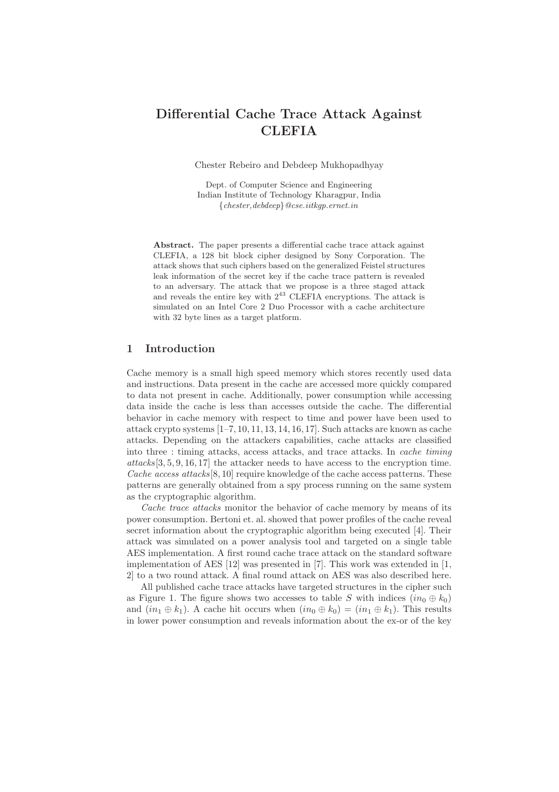# Differential Cache Trace Attack Against **CLEFIA**

Chester Rebeiro and Debdeep Mukhopadhyay

Dept. of Computer Science and Engineering Indian Institute of Technology Kharagpur, India {*chester,debdeep*}*@cse.iitkgp.ernet.in*

Abstract. The paper presents a differential cache trace attack against CLEFIA, a 128 bit block cipher designed by Sony Corporation. The attack shows that such ciphers based on the generalized Feistel structures leak information of the secret key if the cache trace pattern is revealed to an adversary. The attack that we propose is a three staged attack and reveals the entire key with  $2^{43}$  CLEFIA encryptions. The attack is simulated on an Intel Core 2 Duo Processor with a cache architecture with 32 byte lines as a target platform.

## 1 Introduction

Cache memory is a small high speed memory which stores recently used data and instructions. Data present in the cache are accessed more quickly compared to data not present in cache. Additionally, power consumption while accessing data inside the cache is less than accesses outside the cache. The differential behavior in cache memory with respect to time and power have been used to attack crypto systems  $[1-7, 10, 11, 13, 14, 16, 17]$ . Such attacks are known as cache attacks. Depending on the attackers capabilities, cache attacks are classified into three : timing attacks, access attacks, and trace attacks. In cache timing attacks[3, 5, 9, 16, 17] the attacker needs to have access to the encryption time. Cache access attacks  $[8, 10]$  require knowledge of the cache access patterns. These patterns are generally obtained from a spy process running on the same system as the cryptographic algorithm.

Cache trace attacks monitor the behavior of cache memory by means of its power consumption. Bertoni et. al. showed that power profiles of the cache reveal secret information about the cryptographic algorithm being executed [4]. Their attack was simulated on a power analysis tool and targeted on a single table AES implementation. A first round cache trace attack on the standard software implementation of AES [12] was presented in [7]. This work was extended in [1, 2] to a two round attack. A final round attack on AES was also described here.

All published cache trace attacks have targeted structures in the cipher such as Figure 1. The figure shows two accesses to table S with indices  $(in_0 \oplus k_0)$ and  $(in_1 \oplus k_1)$ . A cache hit occurs when  $(in_0 \oplus k_0) = (in_1 \oplus k_1)$ . This results in lower power consumption and reveals information about the ex-or of the key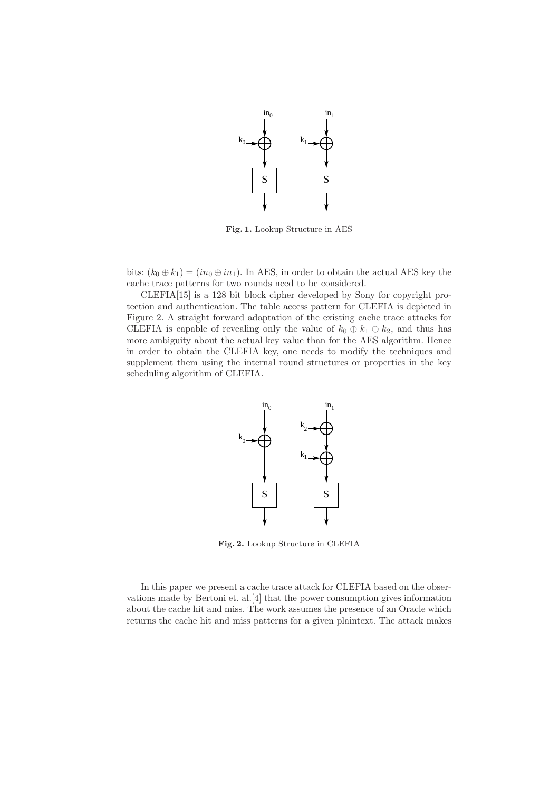

Fig. 1. Lookup Structure in AES

bits:  $(k_0 \oplus k_1) = (in_0 \oplus in_1)$ . In AES, in order to obtain the actual AES key the cache trace patterns for two rounds need to be considered.

CLEFIA[15] is a 128 bit block cipher developed by Sony for copyright protection and authentication. The table access pattern for CLEFIA is depicted in Figure 2. A straight forward adaptation of the existing cache trace attacks for CLEFIA is capable of revealing only the value of  $k_0 \oplus k_1 \oplus k_2$ , and thus has more ambiguity about the actual key value than for the AES algorithm. Hence in order to obtain the CLEFIA key, one needs to modify the techniques and supplement them using the internal round structures or properties in the key scheduling algorithm of CLEFIA.



Fig. 2. Lookup Structure in CLEFIA

In this paper we present a cache trace attack for CLEFIA based on the observations made by Bertoni et. al.[4] that the power consumption gives information about the cache hit and miss. The work assumes the presence of an Oracle which returns the cache hit and miss patterns for a given plaintext. The attack makes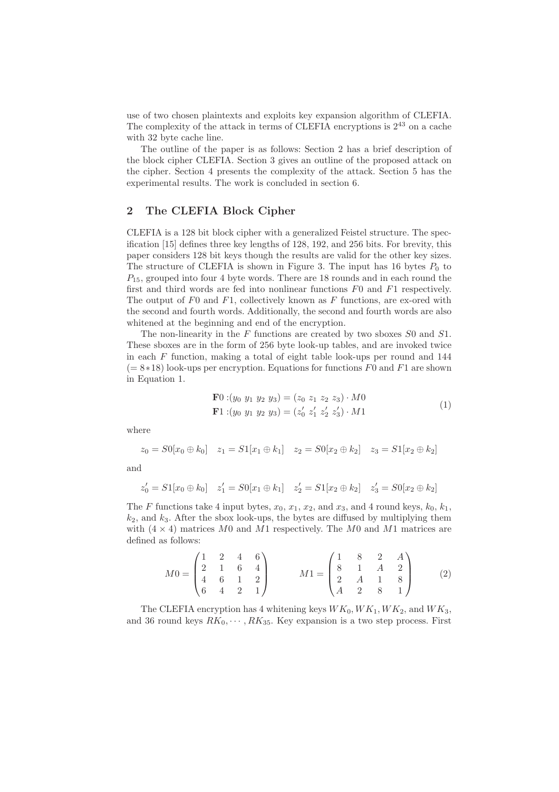use of two chosen plaintexts and exploits key expansion algorithm of CLEFIA. The complexity of the attack in terms of CLEFIA encryptions is  $2^{43}$  on a cache with 32 byte cache line.

The outline of the paper is as follows: Section 2 has a brief description of the block cipher CLEFIA. Section 3 gives an outline of the proposed attack on the cipher. Section 4 presents the complexity of the attack. Section 5 has the experimental results. The work is concluded in section 6.

## 2 The CLEFIA Block Cipher

CLEFIA is a 128 bit block cipher with a generalized Feistel structure. The specification [15] defines three key lengths of 128, 192, and 256 bits. For brevity, this paper considers 128 bit keys though the results are valid for the other key sizes. The structure of CLEFIA is shown in Figure 3. The input has 16 bytes  $P_0$  to  $P_{15}$ , grouped into four 4 byte words. There are 18 rounds and in each round the first and third words are fed into nonlinear functions  $F0$  and  $F1$  respectively. The output of  $F0$  and  $F1$ , collectively known as  $F$  functions, are ex-ored with the second and fourth words. Additionally, the second and fourth words are also whitened at the beginning and end of the encryption.

The non-linearity in the  $F$  functions are created by two sboxes  $S_0$  and  $S_1$ . These sboxes are in the form of 256 byte look-up tables, and are invoked twice in each  $F$  function, making a total of eight table look-ups per round and 144  $(= 8*18)$  look-ups per encryption. Equations for functions F0 and F1 are shown in Equation 1.

$$
\mathbf{F}0:(y_0 \ y_1 \ y_2 \ y_3) = (z_0 \ z_1 \ z_2 \ z_3) \cdot M0 \n\mathbf{F}1:(y_0 \ y_1 \ y_2 \ y_3) = (z'_0 \ z'_1 \ z'_2 \ z'_3) \cdot M1
$$
\n(1)

where

$$
z_0 = S0[x_0 \oplus k_0] \quad z_1 = S1[x_1 \oplus k_1] \quad z_2 = S0[x_2 \oplus k_2] \quad z_3 = S1[x_2 \oplus k_2]
$$

and

$$
z'_0 = S1[x_0 \oplus k_0] \quad z'_1 = S0[x_1 \oplus k_1] \quad z'_2 = S1[x_2 \oplus k_2] \quad z'_3 = S0[x_2 \oplus k_2]
$$

The F functions take 4 input bytes,  $x_0$ ,  $x_1$ ,  $x_2$ , and  $x_3$ , and 4 round keys,  $k_0$ ,  $k_1$ ,  $k_2$ , and  $k_3$ . After the sbox look-ups, the bytes are diffused by multiplying them with  $(4 \times 4)$  matrices M0 and M1 respectively. The M0 and M1 matrices are defined as follows:

$$
M0 = \begin{pmatrix} 1 & 2 & 4 & 6 \\ 2 & 1 & 6 & 4 \\ 4 & 6 & 1 & 2 \\ 6 & 4 & 2 & 1 \end{pmatrix} \qquad M1 = \begin{pmatrix} 1 & 8 & 2 & A \\ 8 & 1 & A & 2 \\ 2 & A & 1 & 8 \\ A & 2 & 8 & 1 \end{pmatrix}
$$
 (2)

The CLEFIA encryption has 4 whitening keys  $WK_0, WK_1, WK_2$ , and  $WK_3$ , and 36 round keys  $RK_0, \dots, RK_{35}$ . Key expansion is a two step process. First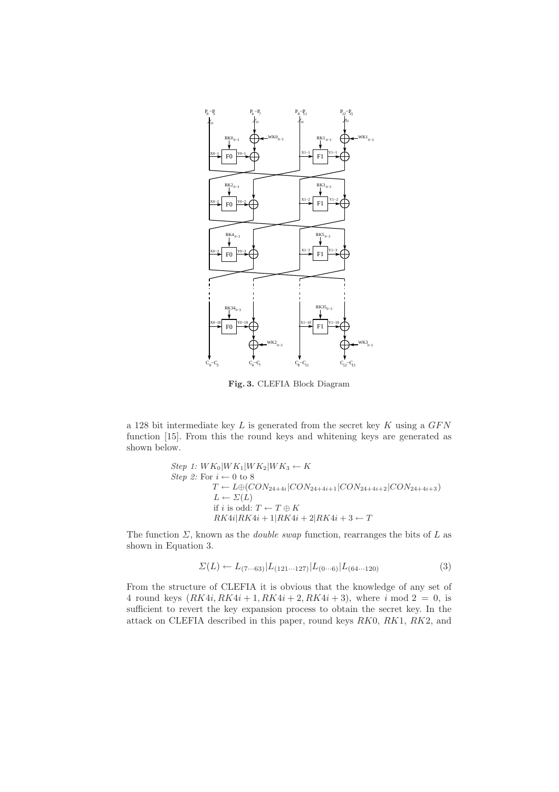

Fig. 3. CLEFIA Block Diagram

a 128 bit intermediate key  $L$  is generated from the secret key  $K$  using a  $GFN$ function [15]. From this the round keys and whitening keys are generated as shown below.

Step 1: 
$$
WK_0|WK_1|WK_2|WK_3 \leftarrow K
$$
  
\nStep 2: For  $i \leftarrow 0$  to 8  
\n $T \leftarrow L \oplus (CON_{24+4i} | CON_{24+4i+1} | CON_{24+4i+2} | CON_{24+4i+3})$   
\n $L \leftarrow \Sigma(L)$   
\nif *i* is odd:  $T \leftarrow T \oplus K$   
\n $RK4i|RK4i + 1|RK4i + 2|RK4i + 3 \leftarrow T$ 

The function  $\Sigma$ , known as the *double swap* function, rearranges the bits of  $L$  as shown in Equation 3.

$$
\Sigma(L) \leftarrow L_{(7\cdots 63)} |L_{(121\cdots 127)} |L_{(0\cdots 6)} |L_{(64\cdots 120)} \tag{3}
$$

From the structure of CLEFIA it is obvious that the knowledge of any set of 4 round keys  $(RK4i, RK4i + 1, RK4i + 2, RK4i + 3)$ , where i mod  $2 = 0$ , is sufficient to revert the key expansion process to obtain the secret key. In the attack on CLEFIA described in this paper, round keys RK0, RK1, RK2, and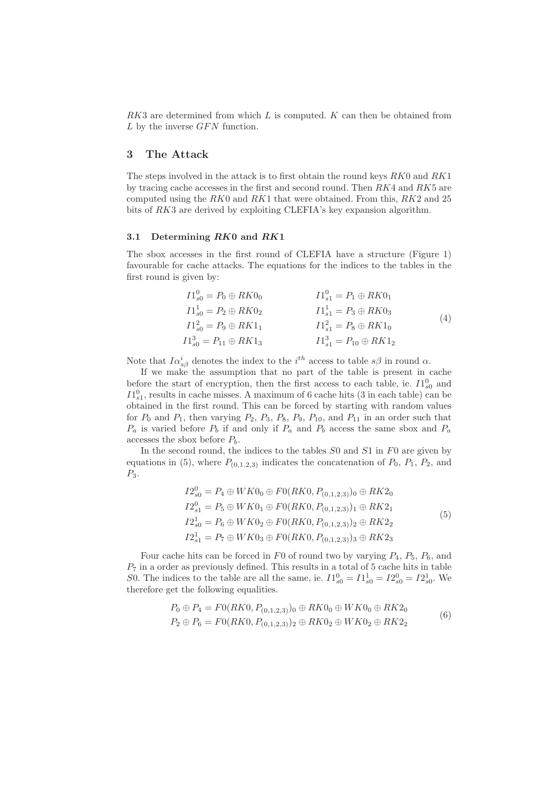$RK3$  are determined from which  $L$  is computed.  $K$  can then be obtained from  $L$  by the inverse  $GFN$  function.

## 3 The Attack

The steps involved in the attack is to first obtain the round keys  $RK0$  and  $RK1$ by tracing cache accesses in the first and second round. Then  $RK4$  and  $RK5$  are computed using the  $RK0$  and  $RK1$  that were obtained. From this,  $RK2$  and 25 bits of RK3 are derived by exploiting CLEFIA's key expansion algorithm.

### 3.1 Determining RK0 and RK1

The sbox accesses in the first round of CLEFIA have a structure (Figure 1) favourable for cache attacks. The equations for the indices to the tables in the first round is given by:

$$
I1_{s0}^{0} = P_{0} \oplus RK0_{0}
$$
  
\n
$$
I1_{s0}^{1} = P_{2} \oplus RK0_{2}
$$
  
\n
$$
I1_{s1}^{1} = P_{3} \oplus RK0_{3}
$$
  
\n
$$
I1_{s0}^{2} = P_{9} \oplus RK1_{1}
$$
  
\n
$$
I1_{s1}^{2} = P_{8} \oplus RK0_{3}
$$
  
\n
$$
I1_{s1}^{2} = P_{8} \oplus RK1_{0}
$$
  
\n
$$
I1_{s1}^{3} = P_{10} \oplus RK1_{2}
$$
  
\n(4)

Note that  $I\alpha_{s\beta}^i$  denotes the index to the  $i^{th}$  access to table  $s\beta$  in round  $\alpha$ .

If we make the assumption that no part of the table is present in cache before the start of encryption, then the first access to each table, ie.  $I1_{s0}^{0}$  and  $I1_{s1}^{0}$ , results in cache misses. A maximum of 6 cache hits (3 in each table) can be obtained in the first round. This can be forced by starting with random values for  $P_0$  and  $P_1$ , then varying  $P_2$ ,  $P_3$ ,  $P_8$ ,  $P_9$ ,  $P_{10}$ , and  $P_{11}$  in an order such that  $P_a$  is varied before  $P_b$  if and only if  $P_a$  and  $P_b$  access the same sbox and  $P_a$ accesses the sbox before  $P_b$ .

In the second round, the indices to the tables  $S_0$  and  $S_1$  in  $F_0$  are given by equations in (5), where  $P_{(0,1,2,3)}$  indicates the concatenation of  $P_0$ ,  $P_1$ ,  $P_2$ , and  $P_3.$ 

$$
I2_{s0}^{0} = P_4 \oplus WK0_0 \oplus F0(RK0, P_{(0,1,2,3)})_0 \oplus RK2_0
$$
  
\n
$$
I2_{s1}^{0} = P_5 \oplus WK0_1 \oplus F0(RK0, P_{(0,1,2,3)})_1 \oplus RK2_1
$$
  
\n
$$
I2_{s0}^{1} = P_6 \oplus WK0_2 \oplus F0(RK0, P_{(0,1,2,3)})_2 \oplus RK2_2
$$
  
\n
$$
I2_{s1}^{1} = P_7 \oplus WK0_3 \oplus F0(RK0, P_{(0,1,2,3)})_3 \oplus RK2_3
$$
  
\n(5)

Four cache hits can be forced in F0 of round two by varying  $P_4$ ,  $P_5$ ,  $P_6$ , and  $P_7$  in a order as previously defined. This results in a total of 5 cache hits in table S0. The indices to the table are all the same, ie.  $I1_{s0}^0 = I1_{s0}^1 = I2_{s0}^0 = I2_{s0}^1$ . We therefore get the following equalities.

$$
P_0 \oplus P_4 = F0(RK0, P_{(0,1,2,3)})_0 \oplus RK0_0 \oplus WK0_0 \oplus RK2_0
$$
  
\n
$$
P_2 \oplus P_6 = F0(RK0, P_{(0,1,2,3)})_2 \oplus RK0_2 \oplus WK0_2 \oplus RK2_2
$$
 (6)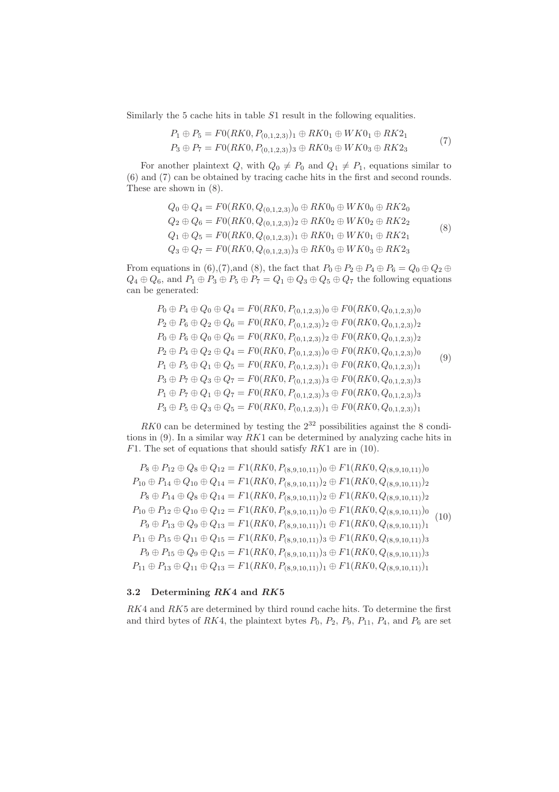Similarly the 5 cache hits in table S1 result in the following equalities.

$$
P_1 \oplus P_5 = F0(RK0, P_{(0,1,2,3)})_1 \oplus RK0_1 \oplus WK0_1 \oplus RK2_1
$$
  
\n
$$
P_3 \oplus P_7 = F0(RK0, P_{(0,1,2,3)})_3 \oplus RK0_3 \oplus WK0_3 \oplus RK2_3
$$
 (7)

For another plaintext  $Q$ , with  $Q_0 \neq P_0$  and  $Q_1 \neq P_1$ , equations similar to (6) and (7) can be obtained by tracing cache hits in the first and second rounds. These are shown in (8).

$$
Q_0 \oplus Q_4 = F0(RK0, Q_{(0,1,2,3)})_0 \oplus RK0_0 \oplus WK0_0 \oplus RK2_0
$$
  
\n
$$
Q_2 \oplus Q_6 = F0(RK0, Q_{(0,1,2,3)})_2 \oplus RK0_2 \oplus WK0_2 \oplus RK2_2
$$
  
\n
$$
Q_1 \oplus Q_5 = F0(RK0, Q_{(0,1,2,3)})_1 \oplus RK0_1 \oplus WK0_1 \oplus RK2_1
$$
  
\n
$$
Q_3 \oplus Q_7 = F0(RK0, Q_{(0,1,2,3)})_3 \oplus RK0_3 \oplus WK0_3 \oplus RK2_3
$$
\n(8)

From equations in (6),(7),and (8), the fact that  $P_0 \oplus P_2 \oplus P_4 \oplus P_6 = Q_0 \oplus Q_2 \oplus$  $Q_4 \oplus Q_6$ , and  $P_1 \oplus P_3 \oplus P_5 \oplus P_7 = Q_1 \oplus Q_3 \oplus Q_5 \oplus Q_7$  the following equations can be generated:

$$
P_0 \oplus P_4 \oplus Q_0 \oplus Q_4 = F0(RK0, P_{(0,1,2,3)}) \oplus F0(RK0, Q_{0,1,2,3}) \oplus P_2 \oplus P_6 \oplus Q_2 \oplus Q_6 = F0(RK0, P_{(0,1,2,3)}) \oplus F0(RK0, Q_{0,1,2,3}) \oplus P_7 \oplus P_6 \oplus Q_0 \oplus Q_6 = F0(RK0, P_{(0,1,2,3)}) \oplus F0(RK0, Q_{0,1,2,3}) \oplus P_2 \oplus P_4 \oplus Q_2 \oplus Q_4 = F0(RK0, P_{(0,1,2,3)}) \oplus F0(RK0, Q_{0,1,2,3}) \oplus P_1 \oplus P_5 \oplus Q_1 \oplus Q_5 = F0(RK0, P_{(0,1,2,3)}) \oplus F0(RK0, Q_{0,1,2,3}) \oplus P_3 \oplus P_7 \oplus Q_3 \oplus Q_7 = F0(RK0, P_{(0,1,2,3)}) \oplus F0(RK0, Q_{0,1,2,3}) \oplus P_1 \oplus P_7 \oplus Q_1 \oplus Q_7 = F0(RK0, P_{(0,1,2,3)}) \oplus F0(RK0, Q_{0,1,2,3}) \oplus P_3 \oplus P_5 \oplus Q_3 \oplus Q_5 = F0(RK0, P_{(0,1,2,3)}) \oplus F0(RK0, Q_{0,1,2,3}) \oplus P_7 \oplus F0(RK0, Q_{0,1,2,3}) \oplus P_8 \oplus P_9 \oplus Q_3 \oplus Q_5 = F0(RK0, P_{(0,1,2,3)}) \oplus F0(RK0, Q_{0,1,2,3}) \oplus P_9 \oplus P_9 \oplus Q_3 \oplus Q_7 \oplus F0(RK0, P_{(0,1,2,3)}) \oplus F0(RK0, Q_{0,1,2,3}) \oplus P_9 \oplus P_9 \oplus Q_3 \oplus Q_5 = F0(RK0, P_{(0,1,2,3)}) \oplus F0(RK0, Q_{0,1,2,3}) \oplus P_9 \oplus P_9 \oplus Q_3 \oplus Q_5 = F0(RK0, P_{(0,1,2,3)}) \oplus F0(RK0, Q_{0,1,2,3}) \oplus
$$

 $RK0$  can be determined by testing the  $2^{32}$  possibilities against the 8 conditions in  $(9)$ . In a similar way  $RK1$  can be determined by analyzing cache hits in  $F1$ . The set of equations that should satisfy  $RK1$  are in (10).

$$
P_8 \oplus P_{12} \oplus Q_8 \oplus Q_{12} = F1(RK0, P_{(8,9,10,11)}) \oplus F1(RK0, Q_{(8,9,10,11)}) \oplus P_{10} \oplus P_{14} \oplus Q_{10} \oplus Q_{14} = F1(RK0, P_{(8,9,10,11)}) \oplus F1(RK0, Q_{(8,9,10,11)}) \oplus P_8 \oplus P_{14} \oplus Q_8 \oplus Q_{14} = F1(RK0, P_{(8,9,10,11)}) \oplus F1(RK0, Q_{(8,9,10,11)}) \oplus P_{10} \oplus P_{12} \oplus Q_{10} \oplus Q_{12} = F1(RK0, P_{(8,9,10,11)}) \oplus F1(RK0, Q_{(8,9,10,11)}) \oplus P_{10} \oplus P_{13} \oplus Q_9 \oplus Q_{13} = F1(RK0, P_{(8,9,10,11)}) \oplus F1(RK0, Q_{(8,9,10,11)}) \oplus P_{11} \oplus P_{15} \oplus Q_{11} \oplus Q_{15} = F1(RK0, P_{(8,9,10,11)}) \oplus F1(RK0, Q_{(8,9,10,11)}) \oplus P_{11} \oplus P_{15} \oplus Q_9 \oplus Q_{15} = F1(RK0, P_{(8,9,10,11)}) \oplus F1(RK0, Q_{(8,9,10,11)}) \oplus P_{11} \oplus P_{13} \oplus Q_{11} \oplus Q_{13} = F1(RK0, P_{(8,9,10,11)}) \oplus F1(RK0, Q_{(8,9,10,11)}) \oplus P_{11} \oplus P_{13} \oplus Q_{11} \oplus Q_{13} = F1(RK0, P_{(8,9,10,11)}) \oplus F1(RK0, Q_{(8,9,10,11)}) \oplus F1(RK0, Q_{(8,9,10,11)}) \oplus P_{11} \oplus P_{12} \oplus P_{13} \oplus Q_{14} \oplus Q_{15} = F1(RK0, P_{(8,9,10,11)}) \oplus F1(RK0, Q_{(8,9,10,11)}) \oplus F
$$

## 3.2 Determining RK4 and RK5

 $RK4$  and  $RK5$  are determined by third round cache hits. To determine the first and third bytes of RK4, the plaintext bytes  $P_0$ ,  $P_2$ ,  $P_9$ ,  $P_{11}$ ,  $P_4$ , and  $P_6$  are set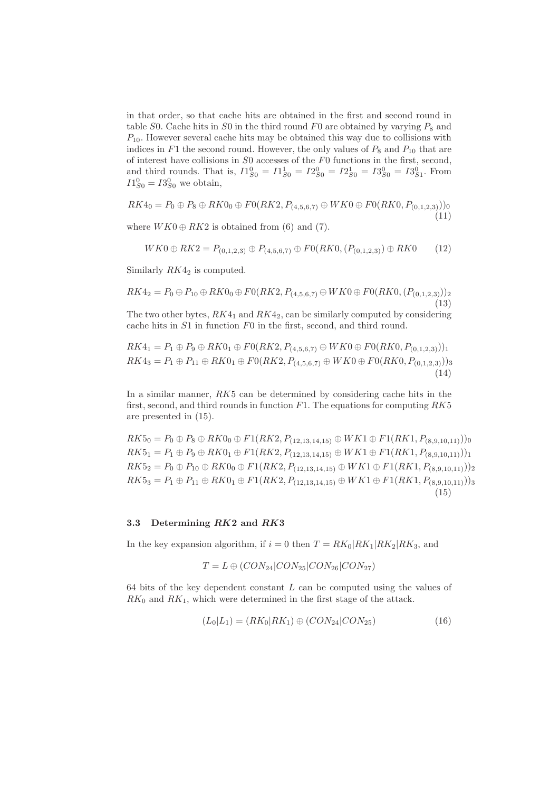in that order, so that cache hits are obtained in the first and second round in table S0. Cache hits in S0 in the third round F0 are obtained by varying  $P_8$  and  $P_{10}$ . However several cache hits may be obtained this way due to collisions with indices in  $F1$  the second round. However, the only values of  $P_8$  and  $P_{10}$  that are of interest have collisions in S0 accesses of the F0 functions in the first, second, and third rounds. That is,  $I_{S0}^{0} = I_{S0}^{1} = I_{S0}^{0} = I_{S0}^{1} = I_{S0}^{0} = I_{S1}^{0}$ . From  $I1_{S0}^{0} = I3_{S0}^{0}$  we obtain,

$$
RK4_0 = P_0 \oplus P_8 \oplus RK0_0 \oplus F0(RK2, P_{(4,5,6,7)} \oplus WK0 \oplus F0(RK0, P_{(0,1,2,3)}))_0
$$
\n(11)

where  $WK0 \oplus RK2$  is obtained from (6) and (7).

$$
WK0 \oplus RK2 = P_{(0,1,2,3)} \oplus P_{(4,5,6,7)} \oplus F0(RK0, (P_{(0,1,2,3)}) \oplus RK0
$$
 (12)

Similarly  $RK4_2$  is computed.

$$
RK4_2 = P_0 \oplus P_{10} \oplus RK0_0 \oplus F0(RK2, P_{(4,5,6,7)} \oplus WK0 \oplus F0(RK0, (P_{(0,1,2,3)}))_2
$$
\n(13)

The two other bytes,  $RK4_1$  and  $RK4_2$ , can be similarly computed by considering cache hits in S1 in function F0 in the first, second, and third round.

$$
RK4_1 = P_1 \oplus P_9 \oplus RK0_1 \oplus F0(RK2, P_{(4,5,6,7)} \oplus WK0 \oplus F0(RK0, P_{(0,1,2,3)}))_1
$$
  
\n
$$
RK4_3 = P_1 \oplus P_{11} \oplus RK0_1 \oplus F0(RK2, P_{(4,5,6,7)} \oplus WK0 \oplus F0(RK0, P_{(0,1,2,3)}))_3
$$
\n(14)

In a similar manner,  $RK5$  can be determined by considering cache hits in the first, second, and third rounds in function  $F1$ . The equations for computing  $RK5$ are presented in (15).

 $RK5_0 = P_0 \oplus P_8 \oplus RK0_0 \oplus F1(RK2, P_{(12,13,14,15)} \oplus WK1 \oplus F1(RK1, P_{(8,9,10,11)}))_0$  $RK5_1 = P_1 \oplus P_9 \oplus RK0_1 \oplus F1(RK2, P_{(12,13,14,15)} \oplus WK1 \oplus F1(RK1, P_{(8,9,10,11)}))_1$  $RK5_2 = P_0 \oplus P_{10} \oplus RK0_0 \oplus F1(RK2, P_{(12,13,14,15)} \oplus WK1 \oplus F1(RK1, P_{(8,9,10,11)}))_2$  $RK5_3 = P_1 \oplus P_{11} \oplus RK0_1 \oplus F1(RK2, P_{(12,13,14,15)} \oplus WK1 \oplus F1(RK1, P_{(8,9,10,11)}))_3$ (15)

#### 3.3 Determining RK2 and RK3

In the key expansion algorithm, if  $i = 0$  then  $T = RK_0|RK_1|RK_2|RK_3$ , and

$$
T = L \oplus (CON_{24}|CON_{25}|CON_{26}|CON_{27})
$$

64 bits of the key dependent constant  $L$  can be computed using the values of  $RK_0$  and  $RK_1$ , which were determined in the first stage of the attack.

$$
(L_0|L_1) = (RK_0|RK_1) \oplus (CON_{24}|CON_{25})
$$
\n(16)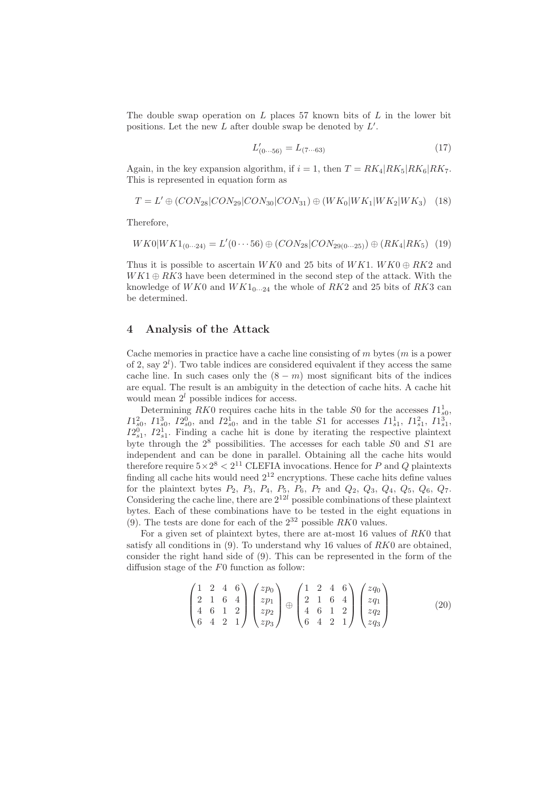The double swap operation on  $L$  places 57 known bits of  $L$  in the lower bit positions. Let the new L after double swap be denoted by  $L'$ .

$$
L'_{(0\cdots 56)} = L_{(7\cdots 63)}\tag{17}
$$

Again, in the key expansion algorithm, if  $i = 1$ , then  $T = RK_4 | RK_5| RK_6|RK_7$ . This is represented in equation form as

$$
T = L' \oplus (CON_{28}|CON_{29}|CON_{30}|CON_{31}) \oplus (WK_0|WK_1|WK_2|WK_3) \quad (18)
$$

Therefore,

$$
WK0|WK1_{(0\cdots 24)} = L'(0\cdots 56) \oplus (CON_{28}|CON_{29(0\cdots 25)}) \oplus (RK_4|RK_5) \tag{19}
$$

Thus it is possible to ascertain  $WK0$  and 25 bits of  $WK1.$   $WK0 \oplus RK2$  and  $WK1 \oplus RK3$  have been determined in the second step of the attack. With the knowledge of  $WK0$  and  $WK1_{0\cdots 24}$  the whole of  $RK2$  and 25 bits of  $RK3$  can be determined.

## 4 Analysis of the Attack

Cache memories in practice have a cache line consisting of  $m$  bytes  $(m \text{ is a power})$ of 2, say  $2^l$ ). Two table indices are considered equivalent if they access the same cache line. In such cases only the  $(8 - m)$  most significant bits of the indices are equal. The result is an ambiguity in the detection of cache hits. A cache hit would mean  $2<sup>l</sup>$  possible indices for access.

Determining RK0 requires cache hits in the table S0 for the accesses  $I1_{s0}^1$ ,  $I1_{s0}^2$ ,  $I1_{s0}^3$ ,  $I2_{s0}^0$ , and  $I2_{s0}^1$ , and in the table S1 for accesses  $I1_{s1}^1$ ,  $I1_{s1}^2$ ,  $I1_{s1}^3$ ,  $I2_{s1}^0$ ,  $I2_{s1}^1$ . Finding a cache hit is done by iterating the respective plaintext byte through the  $2^8$  possibilities. The accesses for each table  $S_0$  and  $S_1$  are independent and can be done in parallel. Obtaining all the cache hits would therefore require  $5 \times 2^8 < 2^{11}$  CLEFIA invocations. Hence for P and Q plaintexts finding all cache hits would need  $2^{12}$  encryptions. These cache hits define values for the plaintext bytes  $P_2$ ,  $P_3$ ,  $P_4$ ,  $P_5$ ,  $P_6$ ,  $P_7$  and  $Q_2$ ,  $Q_3$ ,  $Q_4$ ,  $Q_5$ ,  $Q_6$ ,  $Q_7$ . Considering the cache line, there are  $2^{12l}$  possible combinations of these plaintext bytes. Each of these combinations have to be tested in the eight equations in (9). The tests are done for each of the  $2^{32}$  possible RK0 values.

For a given set of plaintext bytes, there are at-most 16 values of RK0 that satisfy all conditions in  $(9)$ . To understand why 16 values of RK0 are obtained, consider the right hand side of (9). This can be represented in the form of the diffusion stage of the F0 function as follow:

$$
\begin{pmatrix}\n1 & 2 & 4 & 6 \\
2 & 1 & 6 & 4 \\
4 & 6 & 1 & 2 \\
6 & 4 & 2 & 1\n\end{pmatrix}\n\begin{pmatrix}\nzp_0 \\
zp_1 \\
zp_2 \\
zp_3\n\end{pmatrix}\n\oplus\n\begin{pmatrix}\n1 & 2 & 4 & 6 \\
2 & 1 & 6 & 4 \\
4 & 6 & 1 & 2 \\
6 & 4 & 2 & 1\n\end{pmatrix}\n\begin{pmatrix}\nzq_0 \\
zq_1 \\
zq_2 \\
zq_3\n\end{pmatrix}
$$
\n(20)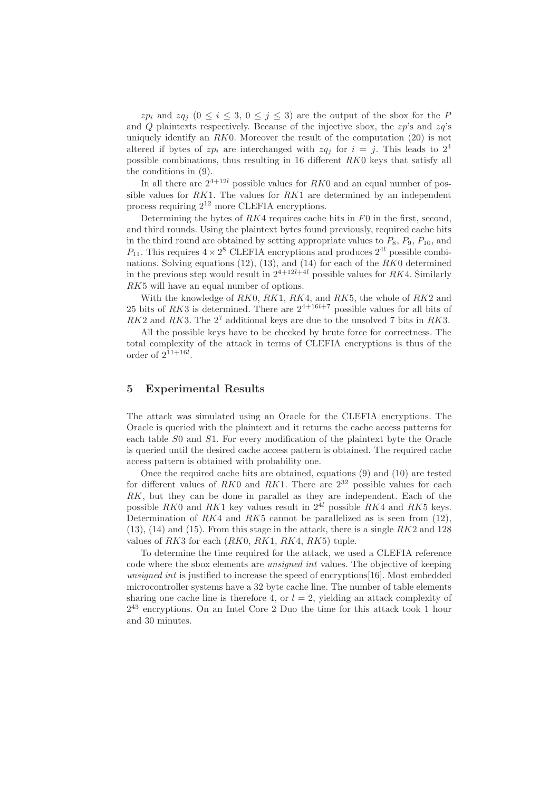$zp_i$  and  $zq_j$   $(0 \le i \le 3, 0 \le j \le 3)$  are the output of the sbox for the P and Q plaintexts respectively. Because of the injective sbox, the  $zp$ 's and  $zq$ 's uniquely identify an  $RK0$ . Moreover the result of the computation  $(20)$  is not altered if bytes of  $zp_i$  are interchanged with  $zq_i$  for  $i = j$ . This leads to  $2^4$ possible combinations, thus resulting in 16 different RK0 keys that satisfy all the conditions in (9).

In all there are  $2^{4+12l}$  possible values for  $RK0$  and an equal number of possible values for  $RK1$ . The values for  $RK1$  are determined by an independent process requiring 2<sup>12</sup> more CLEFIA encryptions.

Determining the bytes of  $RX4$  requires cache hits in  $F0$  in the first, second, and third rounds. Using the plaintext bytes found previously, required cache hits in the third round are obtained by setting appropriate values to  $P_8$ ,  $P_9$ ,  $P_{10}$ , and  $P_{11}$ . This requires  $4 \times 2^8$  CLEFIA encryptions and produces  $2^{4l}$  possible combinations. Solving equations  $(12)$ ,  $(13)$ , and  $(14)$  for each of the RK0 determined in the previous step would result in  $2^{4+12l+4l}$  possible values for RK4. Similarly RK5 will have an equal number of options.

With the knowledge of  $RK0$ ,  $RK1$ ,  $RK4$ , and  $RK5$ , the whole of  $RK2$  and 25 bits of RK3 is determined. There are  $2^{4+16l+7}$  possible values for all bits of  $RK2$  and  $RK3$ . The  $2<sup>7</sup>$  additional keys are due to the unsolved 7 bits in  $RK3$ .

All the possible keys have to be checked by brute force for correctness. The total complexity of the attack in terms of CLEFIA encryptions is thus of the order of  $2^{11+16l}$ .

## 5 Experimental Results

The attack was simulated using an Oracle for the CLEFIA encryptions. The Oracle is queried with the plaintext and it returns the cache access patterns for each table S0 and S1. For every modification of the plaintext byte the Oracle is queried until the desired cache access pattern is obtained. The required cache access pattern is obtained with probability one.

Once the required cache hits are obtained, equations (9) and (10) are tested for different values of  $RK0$  and  $RK1$ . There are  $2^{32}$  possible values for each RK, but they can be done in parallel as they are independent. Each of the possible RK0 and RK1 key values result in  $2^{4l}$  possible RK4 and RK5 keys. Determination of  $RK4$  and  $RK5$  cannot be parallelized as is seen from (12),  $(13)$ ,  $(14)$  and  $(15)$ . From this stage in the attack, there is a single  $RK2$  and  $128$ values of  $RK3$  for each  $(RK0, RK1, RK4, RK5)$  tuple.

To determine the time required for the attack, we used a CLEFIA reference code where the sbox elements are unsigned int values. The objective of keeping unsigned int is justified to increase the speed of encryptions [16]. Most embedded microcontroller systems have a 32 byte cache line. The number of table elements sharing one cache line is therefore 4, or  $l = 2$ , yielding an attack complexity of 2 <sup>43</sup> encryptions. On an Intel Core 2 Duo the time for this attack took 1 hour and 30 minutes.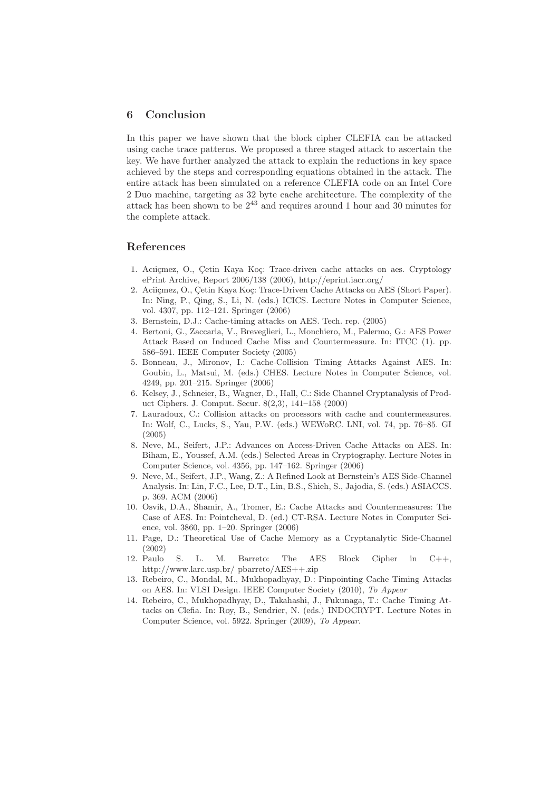## 6 Conclusion

In this paper we have shown that the block cipher CLEFIA can be attacked using cache trace patterns. We proposed a three staged attack to ascertain the key. We have further analyzed the attack to explain the reductions in key space achieved by the steps and corresponding equations obtained in the attack. The entire attack has been simulated on a reference CLEFIA code on an Intel Core 2 Duo machine, targeting as 32 byte cache architecture. The complexity of the attack has been shown to be  $2^{43}$  and requires around 1 hour and 30 minutes for the complete attack.

## References

- 1. Aciicmez, O., Cetin Kaya Koç: Trace-driven cache attacks on aes. Cryptology ePrint Archive, Report 2006/138 (2006), http://eprint.iacr.org/
- 2. Aciiçmez, O., Çetin Kaya Koç: Trace-Driven Cache Attacks on AES (Short Paper). In: Ning, P., Qing, S., Li, N. (eds.) ICICS. Lecture Notes in Computer Science, vol. 4307, pp. 112–121. Springer (2006)
- 3. Bernstein, D.J.: Cache-timing attacks on AES. Tech. rep. (2005)
- 4. Bertoni, G., Zaccaria, V., Breveglieri, L., Monchiero, M., Palermo, G.: AES Power Attack Based on Induced Cache Miss and Countermeasure. In: ITCC (1). pp. 586–591. IEEE Computer Society (2005)
- 5. Bonneau, J., Mironov, I.: Cache-Collision Timing Attacks Against AES. In: Goubin, L., Matsui, M. (eds.) CHES. Lecture Notes in Computer Science, vol. 4249, pp. 201–215. Springer (2006)
- 6. Kelsey, J., Schneier, B., Wagner, D., Hall, C.: Side Channel Cryptanalysis of Product Ciphers. J. Comput. Secur. 8(2,3), 141–158 (2000)
- 7. Lauradoux, C.: Collision attacks on processors with cache and countermeasures. In: Wolf, C., Lucks, S., Yau, P.W. (eds.) WEWoRC. LNI, vol. 74, pp. 76–85. GI (2005)
- 8. Neve, M., Seifert, J.P.: Advances on Access-Driven Cache Attacks on AES. In: Biham, E., Youssef, A.M. (eds.) Selected Areas in Cryptography. Lecture Notes in Computer Science, vol. 4356, pp. 147–162. Springer (2006)
- 9. Neve, M., Seifert, J.P., Wang, Z.: A Refined Look at Bernstein's AES Side-Channel Analysis. In: Lin, F.C., Lee, D.T., Lin, B.S., Shieh, S., Jajodia, S. (eds.) ASIACCS. p. 369. ACM (2006)
- 10. Osvik, D.A., Shamir, A., Tromer, E.: Cache Attacks and Countermeasures: The Case of AES. In: Pointcheval, D. (ed.) CT-RSA. Lecture Notes in Computer Science, vol. 3860, pp. 1–20. Springer (2006)
- 11. Page, D.: Theoretical Use of Cache Memory as a Cryptanalytic Side-Channel (2002)
- 12. Paulo S. L. M. Barreto: The AES Block Cipher in C++, http://www.larc.usp.br/ pbarreto/AES++.zip
- 13. Rebeiro, C., Mondal, M., Mukhopadhyay, D.: Pinpointing Cache Timing Attacks on AES. In: VLSI Design. IEEE Computer Society (2010), *To Appear*
- 14. Rebeiro, C., Mukhopadhyay, D., Takahashi, J., Fukunaga, T.: Cache Timing Attacks on Clefia. In: Roy, B., Sendrier, N. (eds.) INDOCRYPT. Lecture Notes in Computer Science, vol. 5922. Springer (2009), *To Appear.*